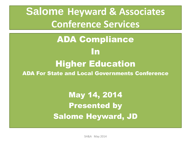**Salome Heyward & Associates Conference Services**

#### ADA Compliance In Higher Education ADA For State and Local Governments Conference

May 14, 2014 Presented by Salome Heyward, JD

SH&A May 2014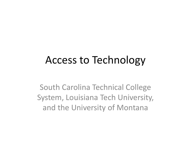#### Access to Technology

South Carolina Technical College System, Louisiana Tech University, and the University of Montana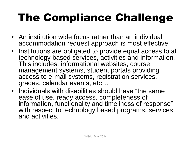## The Compliance Challenge

- An institution wide focus rather than an individual accommodation request approach is most effective.
- Institutions are obligated to provide equal access to all technology based services, activities and information. This includes: informational websites, course management systems, student portals providing access to e-mail systems, registration services, grades, calendar events, etc…
- Individuals with disabilities should have "the same ease of use, ready access, completeness of information, functionality and timeliness of response" with respect to technology based programs, services and activities.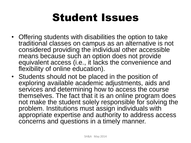### Student Issues

- Offering students with disabilities the option to take traditional classes on campus as an alternative is not considered providing the individual other accessible means because such an option does not provide equivalent access (i.e., it lacks the convenience and flexibility of online education).
- Students should not be placed in the position of exploring available academic adjustments, aids and services and determining how to access the course themselves. The fact that it is an online program does not make the student solely responsible for solving the problem. Institutions must assign individuals with appropriate expertise and authority to address access concerns and questions in a timely manner.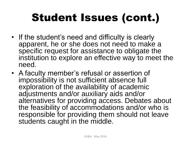## Student Issues (cont.)

- If the student's need and difficulty is clearly apparent, he or she does not need to make a specific request for assistance to obligate the institution to explore an effective way to meet the need.
- A faculty member's refusal or assertion of impossibility is not sufficient absence full exploration of the availability of academic adjustments and/or auxiliary aids and/or alternatives for providing access. Debates about the feasibility of accommodations and/or who is responsible for providing them should not leave students caught in the middle.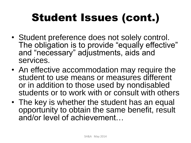## Student Issues (cont.)

- Student preference does not solely control. The obligation is to provide "equally effective" and "necessary" adjustments, aids and services.
- An effective accommodation may require the student to use means or measures different or in addition to those used by nondisabled students or to work with or consult with others
- The key is whether the student has an equal opportunity to obtain the same benefit, result and/or level of achievement…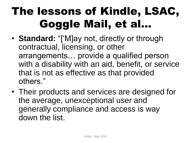## The lessons of Kindle, LSAC, Goggle Mail, et al…

- **Standard:** "['M]ay not, directly or through contractual, licensing, or other arrangements… provide a qualified person with a disability with an aid, benefit, or service that is not as effective as that provided others."
- Their products and services are designed for the average, unexceptional user and generally compliance and access is way down the list.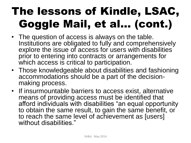# The lessons of Kindle, LSAC, Goggle Mail, et al… (cont.)

- The question of access is always on the table. Institutions are obligated to fully and comprehensively explore the issue of access for users with disabilities prior to entering into contracts or arrangements for which access is critical to participation.
- Those knowledgeable about disabilities and fashioning accommodations should be a part of the decisionmaking process.
- If insurmountable barriers to access exist, alternative means of providing access must be identified that afford individuals with disabilities "an equal opportunity to obtain the same result, to gain the same benefit, or to reach the same level of achievement as [users] without disabilities."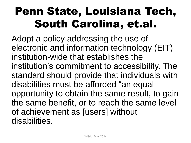Adopt a policy addressing the use of electronic and information technology (EIT) institution-wide that establishes the institution's commitment to accessibility. The standard should provide that individuals with disabilities must be afforded "an equal opportunity to obtain the same result, to gain the same benefit, or to reach the same level of achievement as [users] without disabilities.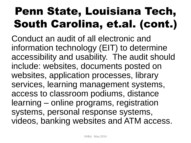Conduct an audit of all electronic and information technology (EIT) to determine accessibility and usability. The audit should include: websites, documents posted on websites, application processes, library services, learning management systems, access to classroom podiums, distance learning – online programs, registration systems, personal response systems, videos, banking websites and ATM access.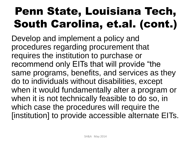Develop and implement a policy and procedures regarding procurement that requires the institution to purchase or recommend only EITs that will provide "the same programs, benefits, and services as they do to individuals without disabilities, except when it would fundamentally alter a program or when it is not technically feasible to do so, in which case the procedures will require the [institution] to provide accessible alternate EITs.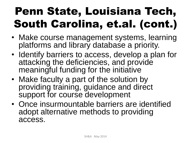- Make course management systems, learning platforms and library database a priority.
- Identify barriers to access, develop a plan for attacking the deficiencies, and provide meaningful funding for the initiative
- Make faculty a part of the solution by providing training, guidance and direct support for course development
- Once insurmountable barriers are identified adopt alternative methods to providing access.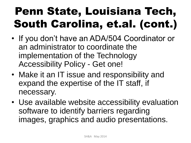- If you don't have an ADA/504 Coordinator or an administrator to coordinate the implementation of the Technology Accessibility Policy - Get one!
- Make it an IT issue and responsibility and expand the expertise of the IT staff, if necessary.
- Use available website accessibility evaluation software to identify barriers regarding images, graphics and audio presentations.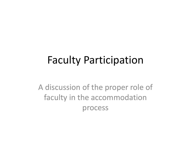#### Faculty Participation

A discussion of the proper role of faculty in the accommodation process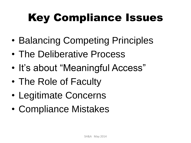# Key Compliance Issues

- Balancing Competing Principles
- The Deliberative Process
- It's about "Meaningful Access"
- The Role of Faculty
- Legitimate Concerns
- Compliance Mistakes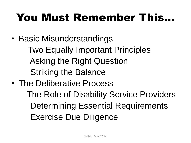## You Must Remember This…

• Basic Misunderstandings

 Two Equally Important Principles Asking the Right Question Striking the Balance

• The Deliberative Process The Role of Disability Service Providers Determining Essential Requirements Exercise Due Diligence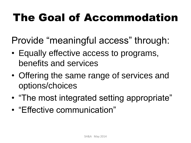## The Goal of Accommodation

Provide "meaningful access" through:

- Equally effective access to programs, benefits and services
- Offering the same range of services and options/choices
- "The most integrated setting appropriate"
- "Effective communication"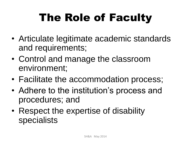# The Role of Faculty

- Articulate legitimate academic standards and requirements;
- Control and manage the classroom environment;
- Facilitate the accommodation process;
- Adhere to the institution's process and procedures; and
- Respect the expertise of disability specialists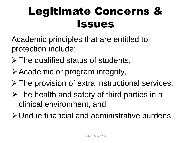## Legitimate Concerns & Issues

Academic principles that are entitled to protection include:

- $\triangleright$  The qualified status of students,
- Academic or program integrity,
- The provision of extra instructional services;
- $\triangleright$  The health and safety of third parties in a clinical environment; and
- Undue financial and administrative burdens.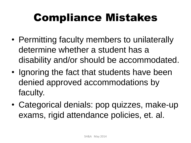## Compliance Mistakes

- Permitting faculty members to unilaterally determine whether a student has a disability and/or should be accommodated.
- Ignoring the fact that students have been denied approved accommodations by faculty.
- Categorical denials: pop quizzes, make-up exams, rigid attendance policies, et. al.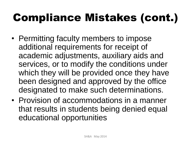## Compliance Mistakes (cont.)

- Permitting faculty members to impose additional requirements for receipt of academic adjustments, auxiliary aids and services, or to modify the conditions under which they will be provided once they have been designed and approved by the office designated to make such determinations.
- Provision of accommodations in a manner that results in students being denied equal educational opportunities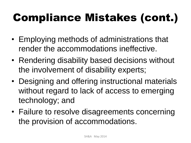## Compliance Mistakes (cont.)

- Employing methods of administrations that render the accommodations ineffective.
- Rendering disability based decisions without the involvement of disability experts;
- Designing and offering instructional materials without regard to lack of access to emerging technology; and
- Failure to resolve disagreements concerning the provision of accommodations.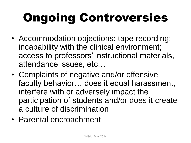# Ongoing Controversies

- Accommodation objections: tape recording; incapability with the clinical environment; access to professors' instructional materials, attendance issues, etc…
- Complaints of negative and/or offensive faculty behavior… does it equal harassment, interfere with or adversely impact the participation of students and/or does it create a culture of discrimination
- Parental encroachment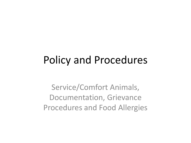#### Policy and Procedures

Service/Comfort Animals, Documentation, Grievance Procedures and Food Allergies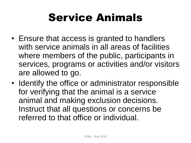## Service Animals

- Ensure that access is granted to handlers with service animals in all areas of facilities where members of the public, participants in services, programs or activities and/or visitors are allowed to go.
- Identify the office or administrator responsible for verifying that the animal is a service animal and making exclusion decisions. Instruct that all questions or concerns be referred to that office or individual.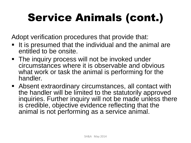Adopt verification procedures that provide that:

- It is presumed that the individual and the animal are entitled to be onsite.
- **The inquiry process will not be invoked under** circumstances where it is observable and obvious what work or task the animal is performing for the handler.
- Absent extraordinary circumstances, all contact with the handler will be limited to the statutorily approved inquiries. Further inquiry will not be made unless there is credible, objective evidence reflecting that the animal is not performing as a service animal.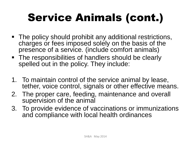- The policy should prohibit any additional restrictions, charges or fees imposed solely on the basis of the presence of a service. (include comfort animals)
- The responsibilities of handlers should be clearly spelled out in the policy. They include:
- 1. To maintain control of the service animal by lease, tether, voice control, signals or other effective means.
- 2. The proper care, feeding, maintenance and overall supervision of the animal
- 3. To provide evidence of vaccinations or immunizations and compliance with local health ordinances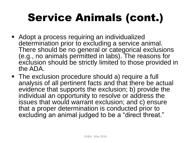- **Adopt a process requiring an individualized** determination prior to excluding a service animal. There should be no general or categorical exclusions (e.g., no animals permitted in labs). The reasons for exclusion should be strictly limited to those provided in the ADA.
- The exclusion procedure should a) require a full analysis of all pertinent facts and that there be actual evidence that supports the exclusion; b) provide the individual an opportunity to resolve or address the issues that would warrant exclusion; and c) ensure that a proper determination is conducted prior to excluding an animal judged to be a "direct threat."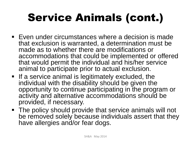- Even under circumstances where a decision is made that exclusion is warranted, a determination must be made as to whether there are modifications or accommodations that could be implemented or offered that would permit the individual and his/her service animal to participate prior to actual exclusion.
- $\blacksquare$  If a service animal is legitimately excluded, the individual with the disability should be given the opportunity to continue participating in the program or activity and alternative accommodations should be provided, if necessary.
- The policy should provide that service animals will not be removed solely because individuals assert that they have allergies and/or fear dogs.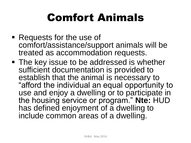## Comfort Animals

- Requests for the use of comfort/assistance/support animals will be treated as accommodation requests.
- **The key issue to be addressed is whether** sufficient documentation is provided to establish that the animal is necessary to "afford the individual an equal opportunity to use and enjoy a dwelling or to participate in the housing service or program." **Nte:** HUD has defined enjoyment of a dwelling to include common areas of a dwelling.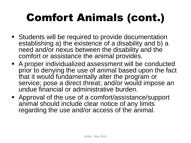# Comfort Animals (cont.)

- Students will be required to provide documentation establishing a) the existence of a disability and b) a need and/or nexus between the disability and the comfort or assistance the animal provides.
- A proper individualized assessment will be conducted prior to denying the use of animal based upon the fact that it would fundamentally alter the program or service; pose a direct threat; and/or would impose an undue financial or administrative burden.
- Approval of the use of a comfort/assistance/support animal should include clear notice of any limits regarding the use and/or access of the animal.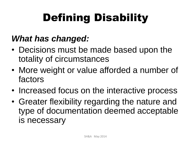# Defining Disability

#### *What has changed:*

- Decisions must be made based upon the totality of circumstances
- More weight or value afforded a number of factors
- Increased focus on the interactive process
- Greater flexibility regarding the nature and type of documentation deemed acceptable is necessary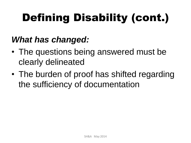# Defining Disability (cont.)

#### *What has changed:*

- The questions being answered must be clearly delineated
- The burden of proof has shifted regarding the sufficiency of documentation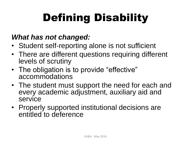# Defining Disability

#### *What has not changed:*

- Student self-reporting alone is not sufficient
- There are different questions requiring different levels of scrutiny
- The obligation is to provide "effective" accommodations
- The student must support the need for each and every academic adjustment, auxiliary aid and service
- Properly supported institutional decisions are entitled to deference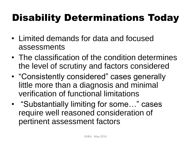### Disability Determinations Today

- Limited demands for data and focused assessments
- The classification of the condition determines the level of scrutiny and factors considered
- "Consistently considered" cases generally little more than a diagnosis and minimal verification of functional limitations
- "Substantially limiting for some..." cases require well reasoned consideration of pertinent assessment factors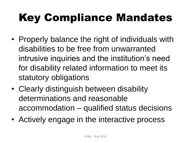# Key Compliance Mandates

- Properly balance the right of individuals with disabilities to be free from unwarranted intrusive inquiries and the institution's need for disability related information to meet its statutory obligations
- Clearly distinguish between disability determinations and reasonable accommodation – qualified status decisions
- Actively engage in the interactive process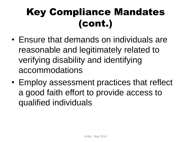### Key Compliance Mandates (cont.)

- Ensure that demands on individuals are reasonable and legitimately related to verifying disability and identifying accommodations
- Employ assessment practices that reflect a good faith effort to provide access to qualified individuals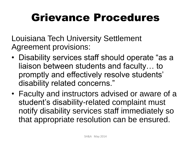### Grievance Procedures

Louisiana Tech University Settlement Agreement provisions:

- Disability services staff should operate "as a liaison between students and faculty… to promptly and effectively resolve students' disability related concerns."
- Faculty and instructors advised or aware of a student's disability-related complaint must notify disability services staff immediately so that appropriate resolution can be ensured.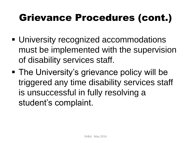#### Grievance Procedures (cont.)

- University recognized accommodations must be implemented with the supervision of disability services staff.
- The University's grievance policy will be triggered any time disability services staff is unsuccessful in fully resolving a student's complaint.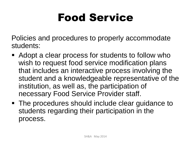### Food Service

Policies and procedures to properly accommodate students:

- Adopt a clear process for students to follow who wish to request food service modification plans that includes an interactive process involving the student and a knowledgeable representative of the institution, as well as, the participation of necessary Food Service Provider staff.
- The procedures should include clear guidance to students regarding their participation in the process.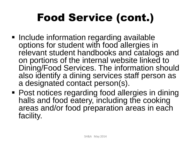# Food Service (cont.)

- Include information regarding available options for student with food allergies in relevant student handbooks and catalogs and on portions of the internal website linked to Dining/Food Services. The information should also identify a dining services staff person as a designated contact person(s).
- Post notices regarding food allergies in dining halls and food eatery, including the cooking areas and/or food preparation areas in each facility.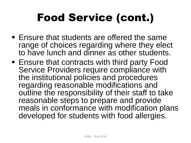# Food Service (cont.)

- **Ensure that students are offered the same** range of choices regarding where they elect to have lunch and dinner as other students.
- Ensure that contracts with third party Food Service Providers require compliance with the institutional policies and procedures regarding reasonable modifications and outline the responsibility of their staff to take reasonable steps to prepare and provide meals in conformance with modification plans developed for students with food allergies.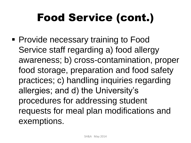# Food Service (cont.)

**Provide necessary training to Food** Service staff regarding a) food allergy awareness; b) cross-contamination, proper food storage, preparation and food safety practices; c) handling inquiries regarding allergies; and d) the University's procedures for addressing student requests for meal plan modifications and exemptions.